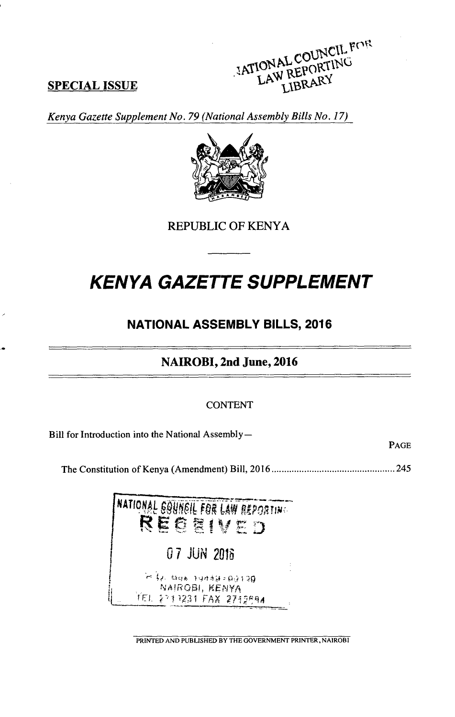## **SPECIAL ISSUE**



Kenya Gazette Supplement No. 79 (National Assembly Bills No. 17)



**REPUBLIC OF KENYA** 

# **KENYA GAZETTE SUPPLEMENT**

## **NATIONAL ASSEMBLY BILLS, 2016**

NAIROBI, 2nd June, 2016

#### **CONTENT**

Bill for Introduction into the National Assembly-

PAGE



PRINTED AND PUBLISHED BY THE GOVERNMENT PRINTER, NAIROBI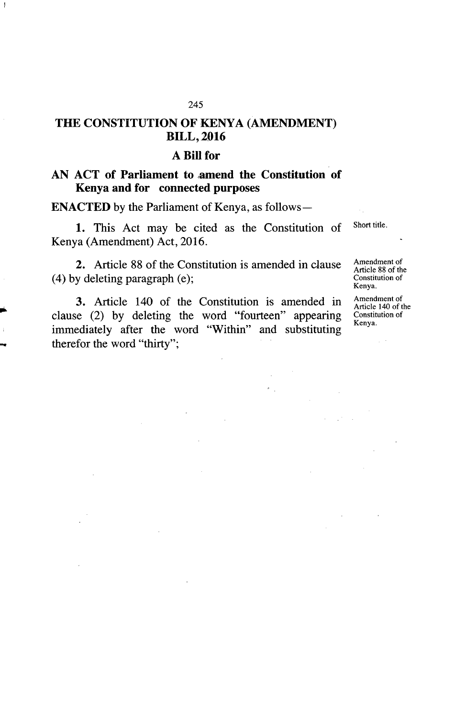### **THE CONSTITUTION OF KENYA (AMENDMENT) BILL, 2016**

#### **A Bill for**

#### **AN ACT of Parliament to amend the Constitution of Kenya and for connected purposes**

**ENACTED** by the Parliament of Kenya, as follows-

1. This Act may be cited as the Constitution of Short title. Kenya (Amendment) Act, 2016.

2. Article 88 of the Constitution is amended in clause Amendment of  $(4)$  by deleting paragraph  $(e)$ ;

3. Article 140 of the Constitution is amended in  $\frac{\text{Amendment of}}{\text{Atilab (1)}}$ clause (2) by deleting the word "fourteen" appearing  $\frac{\text{Constit}}{\text{Kenya}}$ immediately after the word "Within" and substituting therefor the word "thirty";

Article 88 of the Kenya.

Article 140 of the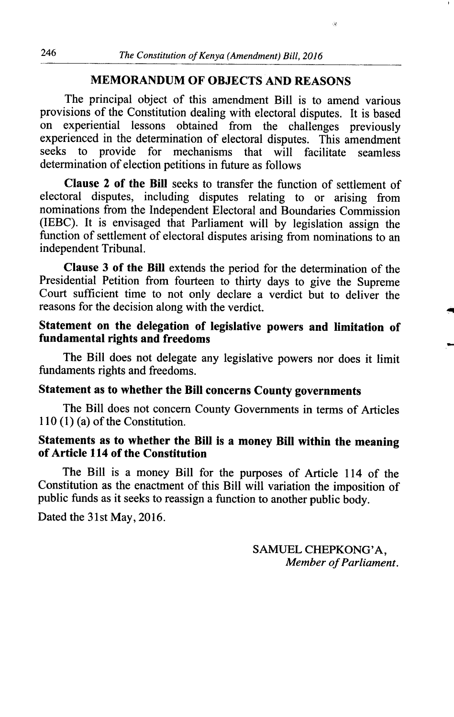#### **MEMORANDUM OF OBJECTS AND REASONS**

The principal object of this amendment Bill is to amend various provisions of the Constitution dealing with electoral disputes. It is based on experiential lessons obtained from the challenges previously experienced in the determination of electoral disputes. This amendment seeks to provide for mechanisms that will facilitate seamless determination of election petitions in future as follows

**Clause** 2 **of the Bill** seeks to transfer the function of settlement of electoral disputes, including disputes relating to or arising from nominations from the Independent Electoral and Boundaries Commission (IEBC). It is envisaged that Parliament will by legislation assign the function of settlement of electoral disputes arising from nominations to an independent Tribunal.

**Clause 3 of the Bill** extends the period for the determination of the Presidential Petition from fourteen to thirty days to give the Supreme Court sufficient time to not only declare a verdict but to deliver the reasons for the decision along with the verdict.

#### **Statement on the delegation of legislative powers and limitation of fundamental rights and freedoms**

The Bill does not delegate any legislative powers nor does it limit fundaments rights and freedoms.

### **Statement as to whether the Bill concerns County governments**

The Bill does not concern County Governments in terms of Articles 110 (1) (a) of the Constitution.

#### **Statements as to whether the Bill is a money Bill within the meaning of Article 114 of the Constitution**

The Bill is a money Bill for the purposes of Article 114 of the Constitution as the enactment of this Bill will variation the imposition of public funds as it seeks to reassign a function to another public body.

Dated the 31st May, 2016.

SAMUEL CHEPKONG'A, *Member of Parliament.* 

 $\dot{\mathcal{G}}$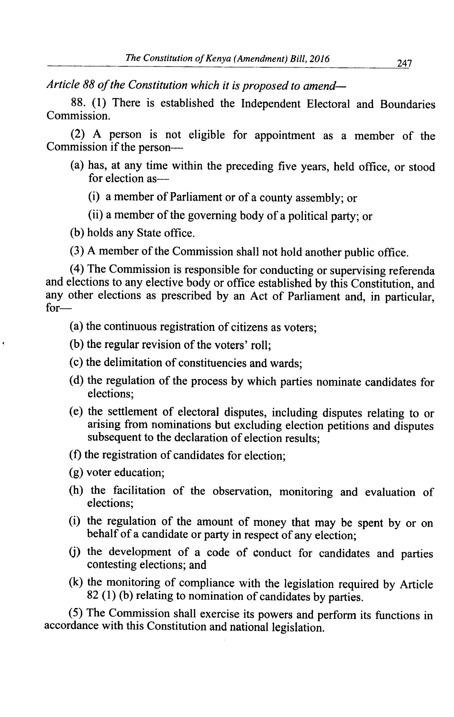*Article 88 of the Constitution which it is proposed to amend-*

88. (1) There is established the Independent Electoral and Boundaries Commission.

(2) A person is not eligible for appointment as a member of the Commission if the person—

- (a) has, at any time within the preceding five years, held office, or stood for election as
	- a member of Parliament or of a county assembly; or
	- (ii) a member of the governing body of a political party; or
- (b) holds any State office.
- (3) A member of the Commission shall not hold another public office.

(4) The Commission is responsible for conducting or supervising referenda and elections to any elective body or office established by this Constitution, and any other elections as prescribed by an Act of Parliament and, in particular, for—

- (a) the continuous registration of citizens as voters;
- (b) the regular revision of the voters' roll;
- (c) the delimitation of constituencies and wards;
- (d) the regulation of the process by which parties nominate candidates for elections;
- (e) the settlement of electoral disputes, including disputes relating to or arising from nominations but excluding election petitions and disputes subsequent to the declaration of election results;
- (1) the registration of candidates for election;
- $(g)$  voter education;
- (h) the facilitation of the observation, monitoring and evaluation of elections;
- (i) the regulation of the amount of money that may be spent by or on behalf of a candidate or party in respect of any election;
- (j) the development of a code of conduct for candidates and parties contesting elections; and
- (k) the monitoring of compliance with the legislation required by Article 82 (1) (b) relating to nomination of candidates by parties.

*(5)* The Commission shall exercise its powers and perform its functions in accordance with this Constitution and national legislation.